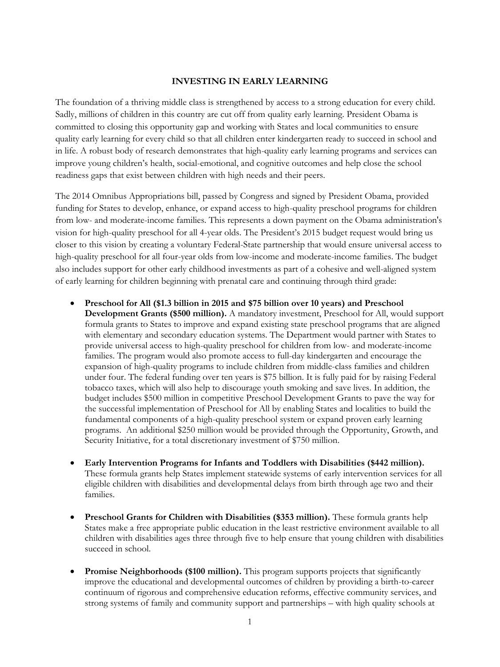## **INVESTING IN EARLY LEARNING**

The foundation of a thriving middle class is strengthened by access to a strong education for every child. Sadly, millions of children in this country are cut off from quality early learning. President Obama is committed to closing this opportunity gap and working with States and local communities to ensure quality early learning for every child so that all children enter kindergarten ready to succeed in school and in life. A robust body of research demonstrates that high-quality early learning programs and services can improve young children's health, social-emotional, and cognitive outcomes and help close the school readiness gaps that exist between children with high needs and their peers.

The 2014 Omnibus Appropriations bill, passed by Congress and signed by President Obama, provided funding for States to develop, enhance, or expand access to high-quality preschool programs for children from low- and moderate-income families. This represents a down payment on the Obama administration's vision for high-quality preschool for all 4-year olds. The President's 2015 budget request would bring us closer to this vision by creating a voluntary Federal-State partnership that would ensure universal access to high-quality preschool for all four-year olds from low-income and moderate-income families. The budget also includes support for other early childhood investments as part of a cohesive and well-aligned system of early learning for children beginning with prenatal care and continuing through third grade:

- **Preschool for All (\$1.3 billion in 2015 and \$75 billion over 10 years) and Preschool Development Grants (\$500 million).** A mandatory investment, Preschool for All, would support formula grants to States to improve and expand existing state preschool programs that are aligned with elementary and secondary education systems. The Department would partner with States to provide universal access to high-quality preschool for children from low- and moderate-income families. The program would also promote access to full-day kindergarten and encourage the expansion of high-quality programs to include children from middle-class families and children under four. The federal funding over ten years is \$75 billion. It is fully paid for by raising Federal tobacco taxes, which will also help to discourage youth smoking and save lives. In addition, the budget includes \$500 million in competitive Preschool Development Grants to pave the way for the successful implementation of Preschool for All by enabling States and localities to build the fundamental components of a high-quality preschool system or expand proven early learning programs. An additional \$250 million would be provided through the Opportunity, Growth, and Security Initiative, for a total discretionary investment of \$750 million.
- **Early Intervention Programs for Infants and Toddlers with Disabilities (\$442 million).**  These formula grants help States implement statewide systems of early intervention services for all eligible children with disabilities and developmental delays from birth through age two and their families.
- **•** Preschool Grants for Children with Disabilities (\$353 million). These formula grants help States make a free appropriate public education in the least restrictive environment available to all children with disabilities ages three through five to help ensure that young children with disabilities succeed in school.
- **Promise Neighborhoods (\$100 million).** This program supports projects that significantly improve the educational and developmental outcomes of children by providing a birth-to-career continuum of rigorous and comprehensive education reforms, effective community services, and strong systems of family and community support and partnerships – with high quality schools at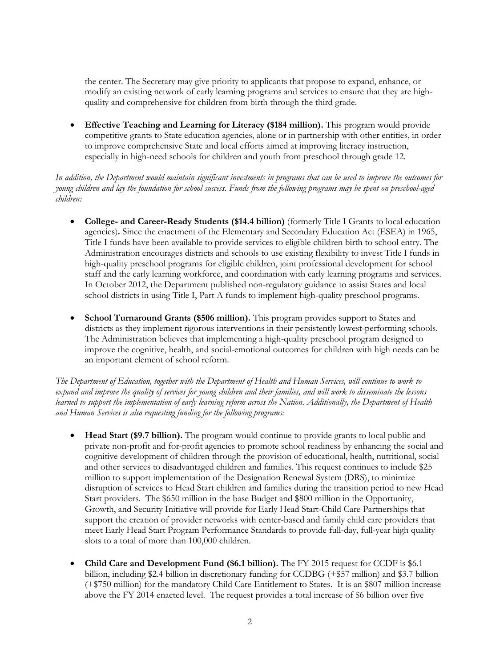the center. The Secretary may give priority to applicants that propose to expand, enhance, or modify an existing network of early learning programs and services to ensure that they are highquality and comprehensive for children from birth through the third grade.

 **Effective Teaching and Learning for Literacy (\$184 million).** This program would provide competitive grants to State education agencies, alone or in partnership with other entities, in order to improve comprehensive State and local efforts aimed at improving literacy instruction, especially in high-need schools for children and youth from preschool through grade 12.

*In addition, the Department would maintain significant investments in programs that can be used to improve the outcomes for young children and lay the foundation for school success. Funds from the following programs may be spent on preschool-aged children:* 

- **College- and Career-Ready Students (\$14.4 billion)** (formerly Title I Grants to local education agencies)**.** Since the enactment of the Elementary and Secondary Education Act (ESEA) in 1965, Title I funds have been available to provide services to eligible children birth to school entry. The Administration encourages districts and schools to use existing flexibility to invest Title I funds in high-quality preschool programs for eligible children, joint professional development for school staff and the early learning workforce, and coordination with early learning programs and services. In October 2012, the Department published non-regulatory guidance to assist States and local school districts in using Title I, Part A funds to implement high-quality preschool programs.
- **School Turnaround Grants (\$506 million).** This program provides support to States and districts as they implement rigorous interventions in their persistently lowest-performing schools. The Administration believes that implementing a high-quality preschool program designed to improve the cognitive, health, and social-emotional outcomes for children with high needs can be an important element of school reform.

*The Department of Education, together with the Department of Health and Human Services, will continue to work to expand and improve the quality of services for young children and their families, and will work to disseminate the lessons learned to support the implementation of early learning reform across the Nation. Additionally, the Department of Health and Human Services is also requesting funding for the following programs:* 

- **Head Start (\$9.7 billion).** The program would continue to provide grants to local public and private non-profit and for-profit agencies to promote school readiness by enhancing the social and cognitive development of children through the provision of educational, health, nutritional, social and other services to disadvantaged children and families. This request continues to include \$25 million to support implementation of the Designation Renewal System (DRS), to minimize disruption of services to Head Start children and families during the transition period to new Head Start providers. The \$650 million in the base Budget and \$800 million in the Opportunity, Growth, and Security Initiative will provide for Early Head Start-Child Care Partnerships that support the creation of provider networks with center-based and family child care providers that meet Early Head Start Program Performance Standards to provide full-day, full-year high quality slots to a total of more than 100,000 children.
- Child Care and Development Fund (\$6.1 billion). The FY 2015 request for CCDF is \$6.1 billion, including \$2.4 billion in discretionary funding for CCDBG (+\$57 million) and \$3.7 billion (+\$750 million) for the mandatory Child Care Entitlement to States. It is an \$807 million increase above the FY 2014 enacted level. The request provides a total increase of \$6 billion over five